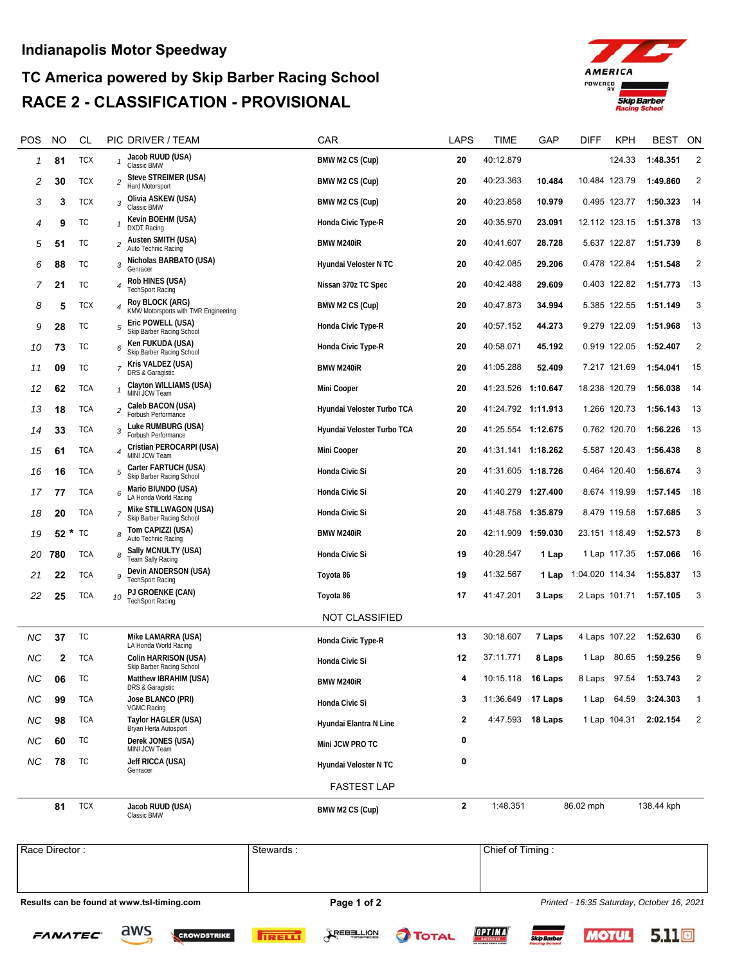## **Indianapolis Motor Speedway**

## **TC America powered by Skip Barber Racing School RACE 2 - CLASSIFICATION - PROVISIONAL**



| POS       | NO      | CL         | PIC DRIVER / TEAM                                                   | CAR                        | LAPS         | TIME               | GAP              | DIFF            | KPH    | BEST       | ON             |
|-----------|---------|------------|---------------------------------------------------------------------|----------------------------|--------------|--------------------|------------------|-----------------|--------|------------|----------------|
| 1         | 81      | <b>TCX</b> | Jacob RUUD (USA)<br>Classic BMW                                     | BMW M2 CS (Cup)            | 20           | 40:12.879          |                  |                 | 124.33 | 1:48.351   | 2              |
| 2         | 30      | TCX        | Steve STREIMER (USA)<br>2<br>Hard Motorsport                        | BMW M2 CS (Cup)            | 20           | 40:23.363          | 10.484           | 10.484 123.79   |        | 1:49.860   | 2              |
| 3         | 3       | <b>TCX</b> | Olivia ASKEW (USA)<br>3<br>Classic BMW                              | BMW M2 CS (Cup)            | 20           | 40:23.858          | 10.979           | 0.495 123.77    |        | 1:50.323   | 14             |
| 4         | 9       | ТC         | Kevin BOEHM (USA)<br><b>DXDT</b> Racing                             | Honda Civic Type-R         | 20           | 40:35.970          | 23.091           | 12.112 123.15   |        | 1:51.378   | 13             |
| 5         | 51      | ТC         | Austen SMITH (USA)<br>2<br>Auto Technic Racing                      | BMW M240iR                 | 20           | 40:41.607          | 28.728           | 5.637 122.87    |        | 1:51.739   | 8              |
| 6         | 88      | ТC         | Nicholas BARBATO (USA)<br>3<br>Genracer                             | Hyundai Veloster N TC      | 20           | 40:42.085          | 29.206           | 0.478 122.84    |        | 1:51.548   | 2              |
| 7         | 21      | ТC         | Rob HINES (USA)<br>4<br><b>TechSport Racing</b>                     | Nissan 370z TC Spec        | 20           | 40:42.488          | 29.609           | 0.403 122.82    |        | 1:51.773   | 13             |
| 8         | 5       | TCX        | Roy BLOCK (ARG)<br>KMW Motorsports with TMR Engineering             | BMW M2 CS (Cup)            | 20           | 40:47.873          | 34.994           | 5.385 122.55    |        | 1:51.149   | 3              |
| 9         | 28      | ТC         | Eric POWELL (USA)<br>5<br>Skip Barber Racing School                 | Honda Civic Type-R         | 20           | 40:57.152          | 44.273           | 9.279 122.09    |        | 1:51.968   | 13             |
| 10        | 73      | ТC         | Ken FUKUDA (USA)<br>6<br>Skip Barber Racing School                  | Honda Civic Type-R         | 20           | 40:58.071          | 45.192           | 0.919 122.05    |        | 1:52.407   | $\overline{2}$ |
| 11        | 09      | TC         | Kris VALDEZ (USA)<br>7<br>DRS & Garagistic                          | <b>BMW M240iR</b>          | 20           | 41:05.288          | 52.409           | 7.217 121.69    |        | 1:54.041   | 15             |
| 12        | 62      | <b>TCA</b> | Clayton WILLIAMS (USA)<br>MINI JCW Team                             | Mini Cooper                | 20           | 41:23.526 1:10.647 |                  | 18.238 120.79   |        | 1:56.038   | 14             |
| 13        | 18      | TCA        | Caleb BACON (USA)<br>$\overline{\mathbf{c}}$<br>Forbush Performance | Hyundai Veloster Turbo TCA | 20           | 41:24.792 1:11.913 |                  | 1.266 120.73    |        | 1:56.143   | 13             |
| 14        | 33      | TCA        | Luke RUMBURG (USA)<br>3<br>Forbush Performance                      | Hyundai Veloster Turbo TCA | 20           | 41:25.554 1:12.675 |                  | 0.762 120.70    |        | 1:56.226   | 13             |
| 15        | 61      | TCA        | Cristian PEROCARPI (USA)<br>4<br>MINI JCW Team                      | Mini Cooper                | 20           | 41:31.141 1:18.262 |                  | 5.587 120.43    |        | 1:56.438   | 8              |
| 16        | 16      | TCA        | Carter FARTUCH (USA)<br>5<br>Skip Barber Racing School              | Honda Civic Si             | 20           | 41:31.605 1:18.726 |                  | 0.464 120.40    |        | 1:56.674   | 3              |
| 17        | 77      | TCA        | Mario BIUNDO (USA)<br>6<br>LA Honda World Racing                    | Honda Civic Si             | 20           | 41:40.279 1:27.400 |                  | 8.674 119.99    |        | 1:57.145   | 18             |
| 18        | 20      | TCA        | Mike STILLWAGON (USA)<br>Skip Barber Racing School                  | Honda Civic Si             | 20           | 41:48.758 1:35.879 |                  | 8.479 119.58    |        | 1:57.685   | 3              |
| 19        | *<br>52 | ТC         | Tom CAPIZZI (USA)<br>Auto Technic Racing                            | <b>BMW M240iR</b>          | 20           | 42:11.909 1:59.030 |                  | 23.151 118.49   |        | 1:52.573   | 8              |
| 20        | 780     | TCA        | Sally MCNULTY (USA)<br>8<br>Team Sally Racing                       | Honda Civic Si             | 19           | 40:28.547          | 1 Lap            | 1 Lap 117.35    |        | 1:57.066   | 16             |
| 21        | 22      | TCA        | Devin ANDERSON (USA)<br>9<br><b>TechSport Racing</b>                | Toyota 86                  | 19           | 41:32.567          | 1 Lap            | 1:04.020 114.34 |        | 1:55.837   | 13             |
| 22        | 25      | TCA        | PJ GROENKE (CAN)<br>10<br><b>TechSport Racing</b>                   | Toyota 86                  | 17           | 41:47.201          | 3 Laps           | 2 Laps 101.71   |        | 1:57.105   | 3              |
|           |         |            |                                                                     | NOT CLASSIFIED             |              |                    |                  |                 |        |            |                |
| <b>NC</b> | 37      | TC         | Mike LAMARRA (USA)<br>LA Honda World Racing                         | Honda Civic Type-R         | 13           | 30:18.607          | 7 Laps           | 4 Laps 107.22   |        | 1:52.630   | 6              |
| NС        | 2       | TCA        | Colin HARRISON (USA)<br>Skip Barber Racing School                   | Honda Civic Si             | 12           | 37:11.771          | 8 Laps           | 1 Lap           | 80.65  | 1:59.256   | 9              |
| $N\!C$    | 06      | ТC         | Matthew IBRAHIM (USA)<br>DRS & Garagistic                           | <b>BMW M240iR</b>          |              | 10:15.118 16 Laps  |                  | 8 Laps          | 97.54  | 1:53.743   | $\overline{2}$ |
| NC.       | 99      | <b>TCA</b> | Jose BLANCO (PRI)<br>VGMC Racing                                    | Honda Civic Si             | 3            | 11:36.649 17 Laps  |                  | 1 Lap 64.59     |        | 3:24.303   | $\mathbf{1}$   |
| NС        | 98      | <b>TCA</b> | Taylor HAGLER (USA)<br>Bryan Herta Autosport                        | Hyundai Elantra N Line     | 2            |                    | 4:47.593 18 Laps | 1 Lap 104.31    |        | 2:02.154   | $\overline{2}$ |
| NС        | 60      | TC         | Derek JONES (USA)<br>MINI JCW Team                                  | Mini JCW PRO TC            | 0            |                    |                  |                 |        |            |                |
| NС        | 78      | TC         | Jeff RICCA (USA)<br>Genracer                                        | Hyundai Veloster N TC      | 0            |                    |                  |                 |        |            |                |
|           |         |            |                                                                     | <b>FASTEST LAP</b>         |              |                    |                  |                 |        |            |                |
|           | 81      | <b>TCX</b> | Jacob RUUD (USA)<br>Classic BMW                                     | BMW M2 CS (Cup)            | $\mathbf{2}$ | 1:48.351           |                  | 86.02 mph       |        | 138.44 kph |                |

Results can be found at www.tsl-timing.com **Page 1 of 2 Page 1 of 2** *Printed - 16:35 Saturday, October 16, 2021* Race Director : Stewards : Chief of Timing : Chief of Timing :

**FANATEC** 

aws











 $5.11\text{m}$